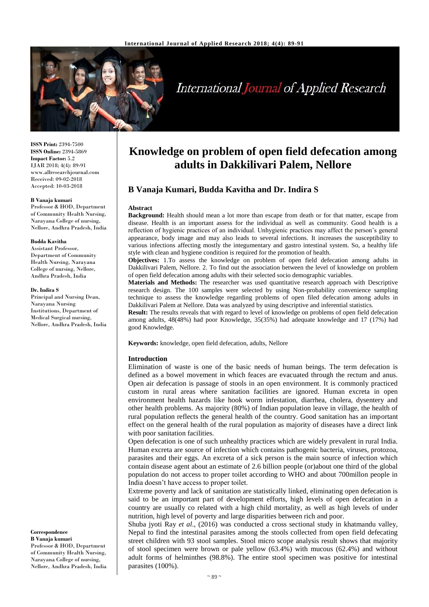

# **International Journal of Applied Research**

**ISSN Print:** 2394-7500 **ISSN Online:** 2394-5869 **Impact Factor:** 5.2 IJAR 2018; 4(4): 89-91 www.allresearchjournal.com Received: 09-02-2018 Accepted: 10-03-2018

#### **B Vanaja kumari**

Professor & HOD, Department of Community Health Nursing, Narayana College of nursing, Nellore, Andhra Pradesh, India

#### **Budda Kavitha**

Assistant Professor, Department of Community Health Nursing, Narayana College of nursing, Nellore, Andhra Pradesh, India

#### **Dr. Indira S**

Principal and Nursing Dean, Narayana Nursing Institutions, Department of Medical Surgical nursing, Nellore, Andhra Pradesh, India

**Correspondence**

**B Vanaja kumari** Professor & HOD, Department of Community Health Nursing, Narayana College of nursing, Nellore, Andhra Pradesh, India

# **Knowledge on problem of open field defecation among adults in Dakkilivari Palem, Nellore**

# **B Vanaja Kumari, Budda Kavitha and Dr. Indira S**

#### **Abstract**

**Background:** Health should mean a lot more than escape from death or for that matter, escape from disease. Health is an important assess for the individual as well as community. Good health is a reflection of hygienic practices of an individual. Unhygienic practices may affect the person's general appearance, body image and may also leads to several infections. It increases the susceptibility to various infections affecting mostly the integumentary and gastro intestinal system. So, a healthy life style with clean and hygiene condition is required for the promotion of health.

**Objectives:** 1.To assess the knowledge on problem of open field defecation among adults in Dakkilivari Palem, Nellore. 2. To find out the association between the level of knowledge on problem of open field defecation among adults with their selected socio demographic variables.

**Materials and Methods:** The researcher was used quantitative research approach with Descriptive research design. The 100 samples were selected by using Non-probability convenience sampling technique to assess the knowledge regarding problems of open filed defecation among adults in Dakkilivari Palem at Nellore. Data was analyzed by using descriptive and inferential statistics.

**Result:** The results reveals that with regard to level of knowledge on problems of open field defecation among adults, 48(48%) had poor Knowledge, 35(35%) had adequate knowledge and 17 (17%) had good Knowledge.

**Keywords:** knowledge, open field defecation, adults, Nellore

#### **Introduction**

Elimination of waste is one of the basic needs of human beings. The term defecation is defined as a bowel movement in which feaces are evacuated through the rectum and anus. Open air defecation is passage of stools in an open environment. It is commonly practiced custom in rural areas where sanitation facilities are ignored. Human excreta in open environment health hazards like hook worm infestation, diarrhea, cholera, dysentery and other health problems. As majority (80%) of Indian population leave in village, the health of rural population reflects the general health of the country. Good sanitation has an important effect on the general health of the rural population as majority of diseases have a direct link with poor sanitation facilities.

Open defecation is one of such unhealthy practices which are widely prevalent in rural India. Human excreta are source of infection which contains pathogenic bacteria, viruses, protozoa, parasites and their eggs. An excreta of a sick person is the main source of infection which contain disease agent about an estimate of 2.6 billion people (or)about one third of the global population do not access to proper toilet according to WHO and about 700millon people in India doesn't have access to proper toilet.

Extreme poverty and lack of sanitation are statistically linked, eliminating open defecation is said to be an important part of development efforts, high levels of open defecation in a country are usually co related with a high child mortality, as well as high levels of under nutrition, high level of poverty and large disparities between rich and poor.

Shuba jyoti Ray *et al*., (2016) was conducted a cross sectional study in khatmandu valley, Nepal to find the intestinal parasites among the stools collected from open field defecating street children with 93 stool samples. Stool micro scope analysis result shows that majority of stool specimen were brown or pale yellow (63.4%) with mucous (62.4%) and without adult forms of helminthes (98.8%). The entire stool specimen was positive for intestinal parasites (100%).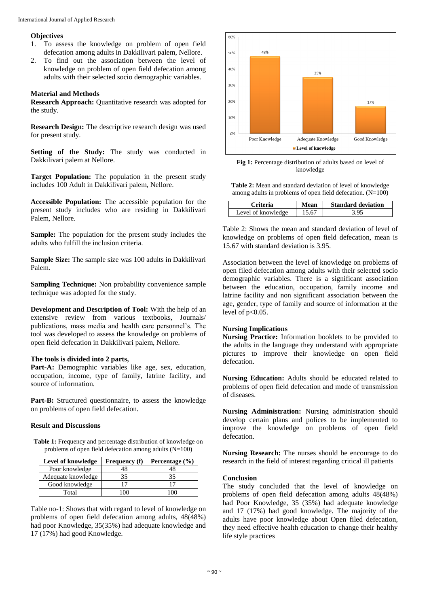#### **Objectives**

- 1. To assess the knowledge on problem of open field defecation among adults in Dakkilivari palem, Nellore.
- 2. To find out the association between the level of knowledge on problem of open field defecation among adults with their selected socio demographic variables.

## **Material and Methods**

**Research Approach:** Quantitative research was adopted for the study.

**Research Design:** The descriptive research design was used for present study.

**Setting of the Study:** The study was conducted in Dakkilivari palem at Nellore.

**Target Population:** The population in the present study includes 100 Adult in Dakkilivari palem, Nellore.

**Accessible Population:** The accessible population for the present study includes who are residing in Dakkilivari Palem, Nellore.

**Sample:** The population for the present study includes the adults who fulfill the inclusion criteria.

**Sample Size:** The sample size was 100 adults in Dakkilivari Palem.

**Sampling Technique:** Non probability convenience sample technique was adopted for the study.

**Development and Description of Tool:** With the help of an extensive review from various textbooks, Journals/ publications, mass media and health care personnel's. The tool was developed to assess the knowledge on problems of open field defecation in Dakkilivari palem, Nellore.

#### **The tools is divided into 2 parts,**

Part-A: Demographic variables like age, sex, education, occupation, income, type of family, latrine facility, and source of information.

**Part-B:** Structured questionnaire, to assess the knowledge on problems of open field defecation.

#### **Result and Discussions**

**Table 1:** Frequency and percentage distribution of knowledge on problems of open field defecation among adults (N=100)

| Level of knowledge | <b>Frequency</b> (f) | Percentage $(\% )$ |
|--------------------|----------------------|--------------------|
| Poor knowledge     |                      |                    |
| Adequate knowledge | 35                   | 35                 |
| Good knowledge     | 17                   |                    |
| Total              |                      |                    |

Table no-1: Shows that with regard to level of knowledge on problems of open field defecation among adults, 48(48%) had poor Knowledge, 35(35%) had adequate knowledge and 17 (17%) had good Knowledge.



Fig 1: Percentage distribution of adults based on level of knowledge

**Table 2:** Mean and standard deviation of level of knowledge among adults in problems of open field defecation. (N=100)

| Criteria           | Mean | <b>Standard deviation</b> |
|--------------------|------|---------------------------|
| Level of knowledge | 5.67 |                           |

Table 2: Shows the mean and standard deviation of level of knowledge on problems of open field defecation, mean is 15.67 with standard deviation is 3.95.

Association between the level of knowledge on problems of open filed defecation among adults with their selected socio demographic variables. There is a significant association between the education, occupation, family income and latrine facility and non significant association between the age, gender, type of family and source of information at the level of p<0.05.

## **Nursing Implications**

**Nursing Practice:** Information booklets to be provided to the adults in the language they understand with appropriate pictures to improve their knowledge on open field defecation.

**Nursing Education:** Adults should be educated related to problems of open field defecation and mode of transmission of diseases.

**Nursing Administration:** Nursing administration should develop certain plans and polices to be implemented to improve the knowledge on problems of open field defecation.

**Nursing Research:** The nurses should be encourage to do research in the field of interest regarding critical ill patients

#### **Conclusion**

The study concluded that the level of knowledge on problems of open field defecation among adults 48(48%) had Poor Knowledge, 35 (35%) had adequate knowledge and 17 (17%) had good knowledge. The majority of the adults have poor knowledge about Open filed defecation, they need effective health education to change their healthy life style practices